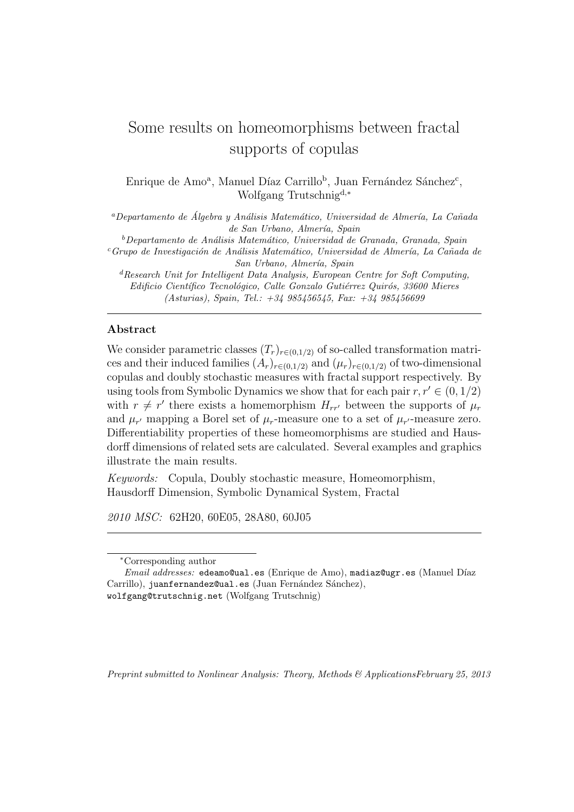# Some results on homeomorphisms between fractal supports of copulas

Enrique de Amo<sup>a</sup>, Manuel Díaz Carrillo<sup>b</sup>, Juan Fernández Sánchez<sup>c</sup>, Wolfgang Trutschnigd,*<sup>∗</sup>*

*<sup>a</sup>Departamento de Algebra y An´alisis Matem´atico, Universidad de Almer´ıa, La Ca˜nada ´ de San Urbano, Almer´ıa, Spain*

*<sup>b</sup>Departamento de An´alisis Matem´atico, Universidad de Granada, Granada, Spain <sup>c</sup>Grupo de Investigaci´on de An´alisis Matem´atico, Universidad de Almer´ıa, La Ca˜nada de San Urbano, Almer´ıa, Spain*

*<sup>d</sup>Research Unit for Intelligent Data Analysis, European Centre for Soft Computing, Edificio Cient´ıfico Tecnol´ogico, Calle Gonzalo Guti´errez Quir´os, 33600 Mieres (Asturias), Spain, Tel.: +34 985456545, Fax: +34 985456699*

# **Abstract**

We consider parametric classes  $(T_r)_{r \in (0,1/2)}$  of so-called transformation matrices and their induced families  $(A_r)_{r \in (0,1/2)}$  and  $(\mu_r)_{r \in (0,1/2)}$  of two-dimensional copulas and doubly stochastic measures with fractal support respectively. By using tools from Symbolic Dynamics we show that for each pair  $r, r' \in (0, 1/2)$ with  $r \neq r'$  there exists a homemorphism  $H_{rr'}$  between the supports of  $\mu_r$ and  $\mu_{r'}$  mapping a Borel set of  $\mu_r$ -measure one to a set of  $\mu_{r'}$ -measure zero. Differentiability properties of these homeomorphisms are studied and Hausdorff dimensions of related sets are calculated. Several examples and graphics illustrate the main results.

*Keywords:* Copula, Doubly stochastic measure, Homeomorphism, Hausdorff Dimension, Symbolic Dynamical System, Fractal

*2010 MSC:* 62H20, 60E05, 28A80, 60J05

*Preprint submitted to Nonlinear Analysis: Theory, Methods & ApplicationsFebruary 25, 2013*

*<sup>∗</sup>*Corresponding author

*Email addresses:* edeamo@ual.es (Enrique de Amo), madiaz@ugr.es (Manuel D´ıaz Carrillo), juanfernandez@ual.es (Juan Fernández Sánchez), wolfgang@trutschnig.net (Wolfgang Trutschnig)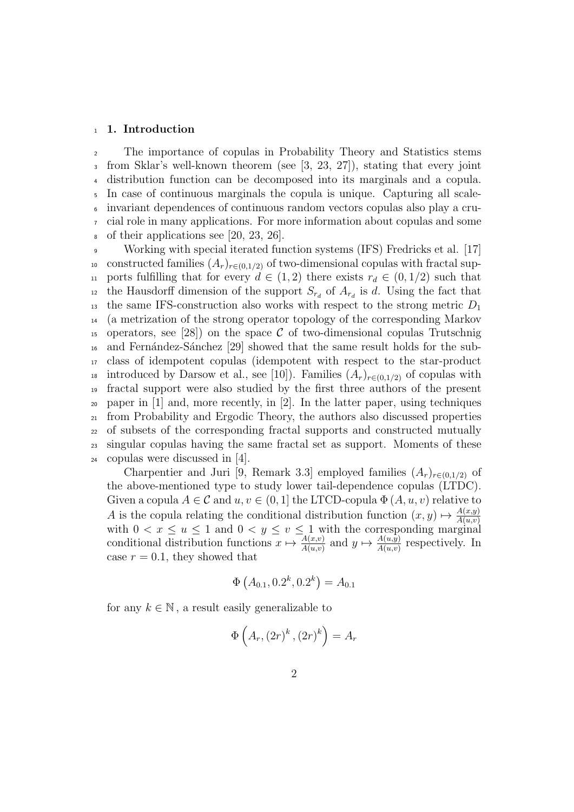#### <sup>1</sup> **1. Introduction**

 The importance of copulas in Probability Theory and Statistics stems from Sklar's well-known theorem (see [3, 23, 27]), stating that every joint distribution function can be decomposed into its marginals and a copula. In case of continuous marginals the copula is unique. Capturing all scale- invariant dependences of continuous random vectors copulas also play a cru- cial role in many applications. For more information about copulas and some of their applications see [20, 23, 26].

 Working with special iterated function systems (IFS) Fredricks et al. [17] 10 constructed families  $(A_r)_{r \in (0,1/2)}$  of two-dimensional copulas with fractal sup-11 ports fulfilling that for every  $d \in (1,2)$  there exists  $r_d \in (0,1/2)$  such that the Hausdorff dimension of the support  $S_{r_d}$  of  $A_{r_d}$  is *d*. Using the fact that the same IFS-construction also works with respect to the strong metric *D*<sup>1</sup> (a metrization of the strong operator topology of the corresponding Markov <sup>15</sup> operators, see [28]) on the space  $\mathcal C$  of two-dimensional copulas Trutschnig and Fern´andez-S´anchez [29] showed that the same result holds for the sub- class of idempotent copulas (idempotent with respect to the star-product 18 introduced by Darsow et al., see [10]). Families  $(A_r)_{r\in(0,1/2)}$  of copulas with fractal support were also studied by the first three authors of the present paper in [1] and, more recently, in [2]. In the latter paper, using techniques from Probability and Ergodic Theory, the authors also discussed properties of subsets of the corresponding fractal supports and constructed mutually singular copulas having the same fractal set as support. Moments of these copulas were discussed in [4].

Charpentier and Juri [9, Remark 3.3] employed families  $(A_r)_{r \in (0,1/2)}$  of the above-mentioned type to study lower tail-dependence copulas (LTDC). Given a copula  $A \in \mathcal{C}$  and  $u, v \in (0, 1]$  the LTCD-copula  $\Phi(A, u, v)$  relative to *A* is the copula relating the conditional distribution function  $(x, y) \mapsto \frac{A(x, y)}{A(u, v)}$ with  $0 < x \leq u \leq 1$  and  $0 < y \leq v \leq 1$  with the corresponding marginal conditional distribution functions  $x \mapsto \frac{A(x,v)}{A(u,v)}$  and  $y \mapsto \frac{A(u,y)}{A(u,v)}$  respectively. In case  $r = 0.1$ , they showed that

$$
\Phi\left(A_{0.1}, 0.2^k, 0.2^k\right) = A_{0.1}
$$

for any  $k \in \mathbb{N}$ , a result easily generalizable to

$$
\Phi\left(A_r, (2r)^k, (2r)^k\right) = A_r
$$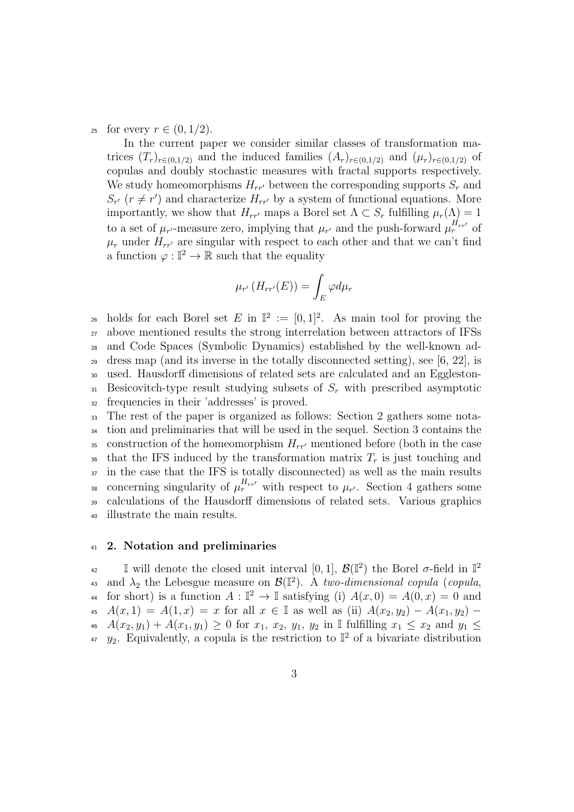25 for every  $r \in (0, 1/2)$ .

In the current paper we consider similar classes of transformation matrices  $(T_r)_{r \in (0,1/2)}$  and the induced families  $(A_r)_{r \in (0,1/2)}$  and  $(\mu_r)_{r \in (0,1/2)}$  of copulas and doubly stochastic measures with fractal supports respectively. We study homeomorphisms  $H_{rr'}$  between the corresponding supports  $S_r$  and  $S_{r'}$  ( $r \neq r'$ ) and characterize  $H_{rr'}$  by a system of functional equations. More importantly, we show that  $H_{rr'}$  maps a Borel set  $\Lambda \subset S_r$  fulfilling  $\mu_r(\Lambda) = 1$ to a set of  $\mu_{r'}$ -measure zero, implying that  $\mu_{r'}$  and the push-forward  $\mu_r^{H_{rr'}}$  of  $\mu_r$  under  $H_{rr'}$  are singular with respect to each other and that we can't find a function  $\varphi : \mathbb{I}^2 \to \mathbb{R}$  such that the equality

$$
\mu_{r'}(H_{rr'}(E)) = \int_E \varphi d\mu_r
$$

<sup>26</sup> holds for each Borel set *E* in  $\mathbb{I}^2 := [0,1]^2$ . As main tool for proving the above mentioned results the strong interrelation between attractors of IFSs and Code Spaces (Symbolic Dynamics) established by the well-known ad-<sup>29</sup> dress map (and its inverse in the totally disconnected setting), see [6, 22], is used. Hausdorff dimensions of related sets are calculated and an Eggleston- Besicovitch-type result studying subsets of *S<sup>r</sup>* with prescribed asymptotic frequencies in their 'addresses' is proved.

 The rest of the paper is organized as follows: Section 2 gathers some nota- tion and preliminaries that will be used in the sequel. Section 3 contains the 35 construction of the homeomorphism  $H_{rr'}$  mentioned before (both in the case <sup>36</sup> that the IFS induced by the transformation matrix  $T_r$  is just touching and in the case that the IFS is totally disconnected) as well as the main results concerning singularity of  $\mu_r^{H_{rr'}}$  with respect to  $\mu_{r'}$ . Section 4 gathers some calculations of the Hausdorff dimensions of related sets. Various graphics illustrate the main results.

### <sup>41</sup> **2. Notation and preliminaries**

I will denote the closed unit interval [0, 1],  $\mathcal{B}(\mathbb{I}^2)$  the Borel *σ*-field in  $\mathbb{I}^2$  $42$ as and  $\lambda_2$  the Lebesgue measure on  $\mathcal{B}(\mathbb{I}^2)$ . A *two-dimensional copula* (*copula*, for short) is a function  $A: \mathbb{I}^2 \to \mathbb{I}$  satisfying (i)  $A(x,0) = A(0,x) = 0$  and 45  $A(x, 1) = A(1, x) = x$  for all  $x \in \mathbb{I}$  as well as (ii)  $A(x_2, y_2) - A(x_1, y_2) -$ <sup>46</sup> *A*(*x*2*, y*1) + *A*(*x*1*, y*1) *≥* 0 for *x*1, *x*2, *y*1, *y*<sup>2</sup> in I fulfilling *x*<sup>1</sup> *≤ x*<sup>2</sup> and *y*<sup>1</sup> *≤*  $y_2$ . Equivalently, a copula is the restriction to  $\mathbb{I}^2$  of a bivariate distribution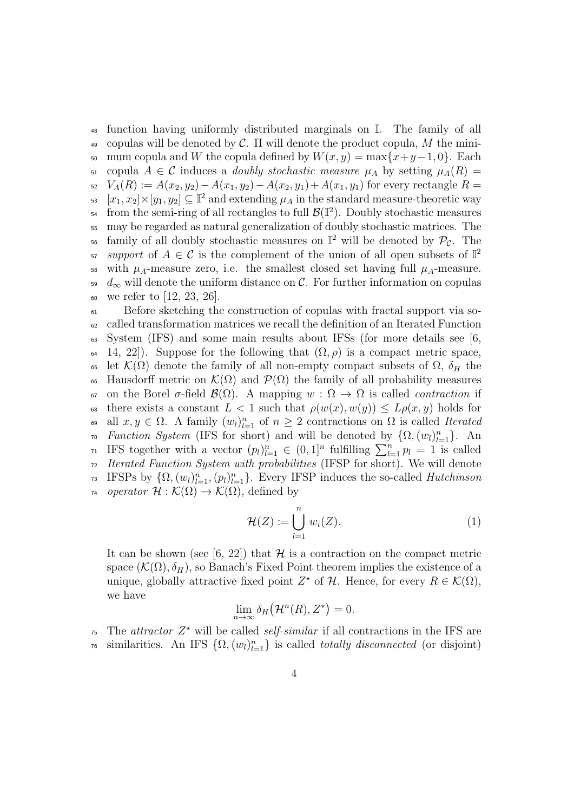<sup>48</sup> function having uniformly distributed marginals on I. The family of all <sup>49</sup> copulas will be denoted by *C*. Π will denote the product copula, *M* the mini-50 mum copula and *W* the copula defined by  $W(x, y) = \max\{x+y-1, 0\}$ . Each 51 copula  $A \in \mathcal{C}$  induces a *doubly stochastic measure*  $\mu_A$  by setting  $\mu_A(R) =$  $V_A(R) := A(x_2, y_2) - A(x_1, y_2) - A(x_2, y_1) + A(x_1, y_1)$  for every rectangle  $R =$  $[\![x_1, x_2]\!] \times [\![y_1, y_2]\!] \subseteq \mathbb{I}^2$  and extending  $\mu_A$  in the standard measure-theoretic way <sup>54</sup> from the semi-ring of all rectangles to full  $\mathcal{B}(\mathbb{I}^2)$ . Doubly stochastic measures <sup>55</sup> may be regarded as natural generalization of doubly stochastic matrices. The  $\epsilon$  family of all doubly stochastic measures on  $\mathbb{I}^2$  will be denoted by  $\mathcal{P}_{\mathcal{C}}$ . The *support* of  $A \in \mathcal{C}$  is the complement of the union of all open subsets of  $\mathbb{I}^2$ 57 58 with  $\mu_A$ -measure zero, i.e. the smallest closed set having full  $\mu_A$ -measure.  $\frac{d}{\infty}$  will denote the uniform distance on C. For further information on copulas <sup>60</sup> we refer to [12, 23, 26].

<sup>61</sup> Before sketching the construction of copulas with fractal support via so-<sup>62</sup> called transformation matrices we recall the definition of an Iterated Function  $\mathfrak{g}_3$  System (IFS) and some main results about IFSs (for more details see [6, 64 14, 22). Suppose for the following that  $(\Omega, \rho)$  is a compact metric space, 65 let  $\mathcal{K}(\Omega)$  denote the family of all non-empty compact subsets of  $\Omega$ ,  $\delta_H$  the 66 Hausdorff metric on  $\mathcal{K}(\Omega)$  and  $\mathcal{P}(\Omega)$  the family of all probability measures <sup>67</sup> on the Borel *σ*-field *B*(Ω). A mapping *w* : Ω *→* Ω is called *contraction* if 68 there exists a constant  $L < 1$  such that  $\rho(w(x), w(y)) \leq L\rho(x, y)$  holds for 69 all *x*, *y* ∈ Ω. A family  $(w_l)_{l=1}^n$  of *n* ≥ 2 contractions on Ω is called *Iterated r*<sup>0</sup> *Function System* (IFS for short) and will be denoted by  $\{\Omega, (w_l)_{l=1}^n\}$ . An *n* IFS together with a vector  $(p_l)_{l=1}^n$  ∈  $(0,1]^n$  fulfilling  $\sum_{l=1}^n p_l = 1$  is called <sup>72</sup> *Iterated Function System with probabilities* (IFSP for short). We will denote *r*<sup>3</sup> IFSPs by  $\{\Omega, (w_l)_{l=1}^n, (p_l)_{l=1}^n\}$ . Every IFSP induces the so-called *Hutchinson r*<sup>4</sup> *operator*  $\mathcal{H}: \mathcal{K}(\Omega) \to \mathcal{K}(\Omega)$ , defined by

$$
\mathcal{H}(Z) := \bigcup_{l=1}^{n} w_i(Z). \tag{1}
$$

It can be shown (see [6, 22]) that  $H$  is a contraction on the compact metric space  $(K(\Omega), \delta_H)$ , so Banach's Fixed Point theorem implies the existence of a unique, globally attractive fixed point  $Z^*$  of  $H$ . Hence, for every  $R \in \mathcal{K}(\Omega)$ , we have

$$
\lim_{n\to\infty}\delta_H(\mathcal{H}^n(R),Z^{\star})=0.
$$

 $\tau$ <sup>5</sup> The *attractor*  $Z^*$  will be called *self-similar* if all contractions in the IFS are  $\pi$  similarities. An IFS  $\{\Omega, (w_l)_{l=1}^n\}$  is called *totally disconnected* (or disjoint)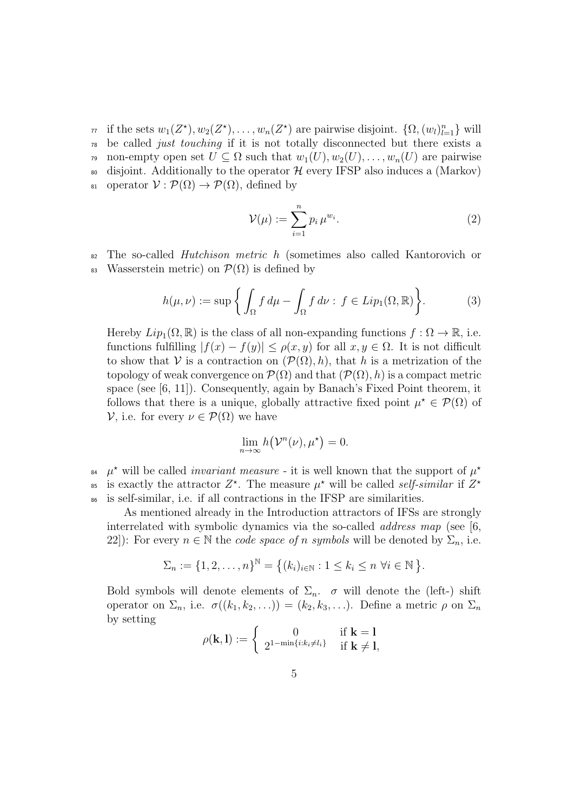*r*<sub>1</sub> if the sets  $w_1(Z^*)$ ,  $w_2(Z^*)$ , ...,  $w_n(Z^*)$  are pairwise disjoint.  $\{\Omega, (w_l)_{l=1}^n\}$  will <sup>78</sup> be called *just touching* if it is not totally disconnected but there exists a 79 non-empty open set  $U \subseteq \Omega$  such that  $w_1(U), w_2(U), \ldots, w_n(U)$  are pairwise 80 disjoint. Additionally to the operator  $H$  every IFSP also induces a (Markov) <sup>81</sup> operator  $V : \mathcal{P}(\Omega) \rightarrow \mathcal{P}(\Omega)$ , defined by

$$
\mathcal{V}(\mu) := \sum_{i=1}^{n} p_i \,\mu^{w_i}.\tag{2}
$$

<sup>82</sup> The so-called *Hutchison metric h* (sometimes also called Kantorovich or 83 Wasserstein metric) on  $\mathcal{P}(\Omega)$  is defined by

$$
h(\mu, \nu) := \sup \left\{ \int_{\Omega} f d\mu - \int_{\Omega} f d\nu : f \in Lip_1(\Omega, \mathbb{R}) \right\}.
$$
 (3)

Hereby  $Lip_1(\Omega,\mathbb{R})$  is the class of all non-expanding functions  $f:\Omega\to\mathbb{R}$ , i.e. functions fulfilling  $|f(x) - f(y)| \le \rho(x, y)$  for all  $x, y \in \Omega$ . It is not difficult to show that *V* is a contraction on  $(\mathcal{P}(\Omega), h)$ , that *h* is a metrization of the topology of weak convergence on  $\mathcal{P}(\Omega)$  and that  $(\mathcal{P}(\Omega), h)$  is a compact metric space (see  $[6, 11]$ ). Consequently, again by Banach's Fixed Point theorem, it follows that there is a unique, globally attractive fixed point  $\mu^* \in \mathcal{P}(\Omega)$  of *V*, i.e. for every *ν*  $\in$  *P*( $Ω$ ) we have

$$
\lim_{n\to\infty} h(\mathcal{V}^n(\nu), \mu^{\star}) = 0.
$$

 $\mu^*$  will be called *invariant measure* - it is well known that the support of  $\mu^*$ 84 is exactly the attractor  $Z^*$ . The measure  $\mu^*$  will be called *self-similar* if  $Z^*$ 85 <sup>86</sup> is self-similar, i.e. if all contractions in the IFSP are similarities.

As mentioned already in the Introduction attractors of IFSs are strongly interrelated with symbolic dynamics via the so-called *address map* (see [6, 22]): For every  $n \in \mathbb{N}$  the *code space of n symbols* will be denoted by  $\Sigma_n$ , i.e.

$$
\Sigma_n := \{1, 2, \dots, n\}^{\mathbb{N}} = \{(k_i)_{i \in \mathbb{N}} : 1 \leq k_i \leq n \,\,\forall i \in \mathbb{N}\,\}.
$$

Bold symbols will denote elements of  $\Sigma_n$ . *σ* will denote the (left-) shift operator on  $\Sigma_n$ , i.e.  $\sigma((k_1, k_2, \ldots)) = (k_2, k_3, \ldots)$ . Define a metric  $\rho$  on  $\Sigma_n$ by setting

$$
\rho(\mathbf{k}, \mathbf{l}) := \begin{cases} 0 & \text{if } \mathbf{k} = 1 \\ 2^{1 - \min\{i : k_i \neq l_i\}} & \text{if } \mathbf{k} \neq 1, \end{cases}
$$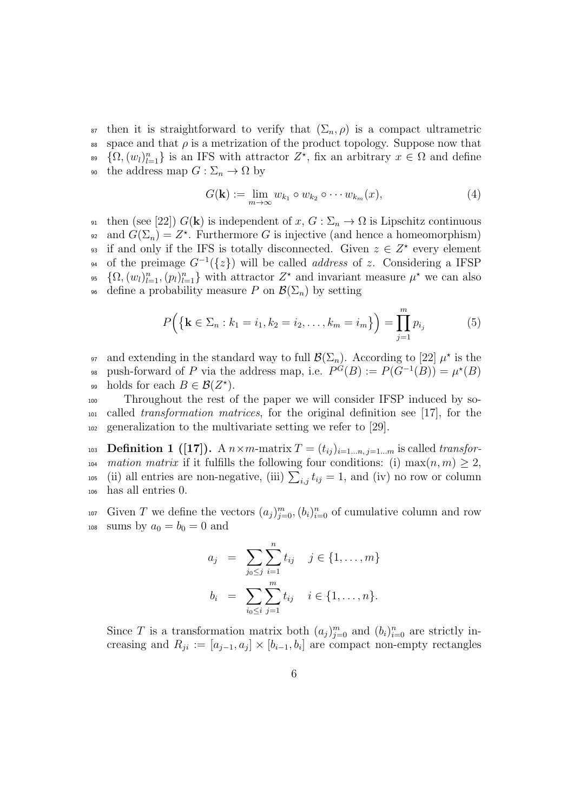<sup>87</sup> then it is straightforward to verify that  $(\Sigma_n, \rho)$  is a compact ultrametric  $\delta$ <sup>88</sup> space and that  $\rho$  is a metrization of the product topology. Suppose now that  $\{\Omega,(w_l)_{l=1}^n\}$  is an IFS with attractor  $Z^*$ , fix an arbitrary  $x \in \Omega$  and define the address map  $G : \Sigma_n \to \Omega$  by

$$
G(\mathbf{k}) := \lim_{m \to \infty} w_{k_1} \circ w_{k_2} \circ \cdots w_{k_m}(x), \tag{4}
$$

91 then (see [22])  $G(\mathbf{k})$  is independent of  $x, G : \Sigma_n \to \Omega$  is Lipschitz continuous <sup>92</sup> and  $G(\Sigma_n) = Z^*$ . Furthermore *G* is injective (and hence a homeomorphism) if and only if the IFS is totally disconnected. Given  $z \in Z^*$  every element of the preimage *G<sup>−</sup>*<sup>1</sup> <sup>94</sup> (*{z}*) will be called *address* of *z*. Considering a IFSP <sup>95</sup>  $\{\Omega, (w_l)_{l=1}^n, (p_l)_{l=1}^n\}$  with attractor  $Z^*$  and invariant measure  $\mu^*$  we can also define a probability measure *P* on  $\mathcal{B}(\Sigma_n)$  by setting

$$
P\Big(\{\mathbf{k}\in\Sigma_n: k_1=i_1, k_2=i_2,\ldots,k_m=i_m\}\Big)=\prod_{j=1}^m p_{i_j}
$$
 (5)

<sup>97</sup> and extending in the standard way to full  $\mathcal{B}(\Sigma_n)$ . According to [22]  $\mu^*$  is the <sup>98</sup> push-forward of *P* via the address map, i.e.  $P^G(B) := P(G^{-1}(B)) = \mu^*(B)$ 99 holds for each  $B \in \mathcal{B}(Z^*)$ .

<sup>100</sup> Throughout the rest of the paper we will consider IFSP induced by so-<sup>101</sup> called *transformation matrices*, for the original definition see [17], for the <sup>102</sup> generalization to the multivariate setting we refer to [29].

**Definition 1 ([17]).** A  $n \times m$ -matrix  $T = (t_{ij})_{i=1...n, j=1...m}$  is called *transfor*-*mation matrix* if it fulfills the following four conditions: (i)  $\max(n, m) \geq 2$ , <sup>105</sup> (ii) all entries are non-negative, (iii)  $\sum_{i,j} t_{ij} = 1$ , and (iv) no row or column has all entries 0.

Given *T* we define the vectors  $(a_j)_{j=0}^m$ ,  $(b_i)_{i=0}^n$  of cumulative column and row 108 sums by  $a_0 = b_0 = 0$  and

$$
a_j = \sum_{j_0 \le j} \sum_{i=1}^n t_{ij} \quad j \in \{1, ..., m\}
$$
  

$$
b_i = \sum_{i_0 \le i} \sum_{j=1}^m t_{ij} \quad i \in \{1, ..., n\}.
$$

Since *T* is a transformation matrix both  $(a_j)_{j=0}^m$  and  $(b_i)_{i=0}^n$  are strictly increasing and  $R_{ji} := [a_{j-1}, a_j] \times [b_{i-1}, b_i]$  are compact non-empty rectangles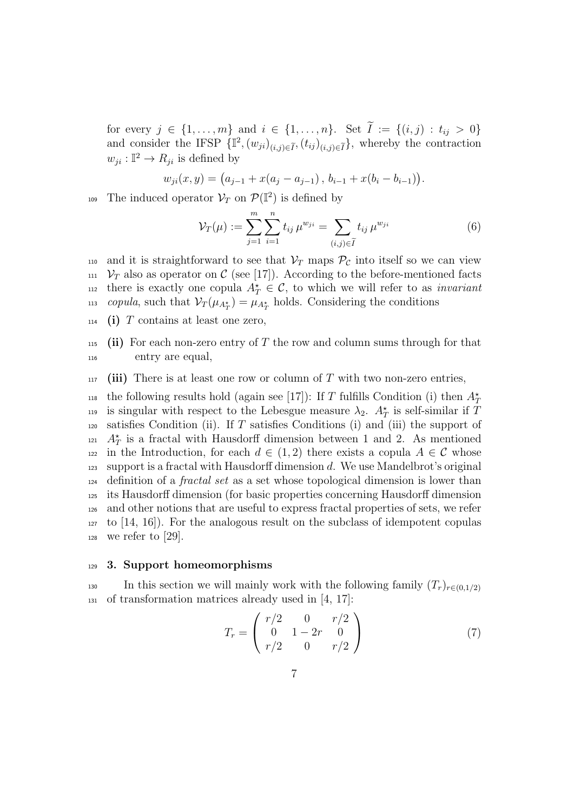for every  $j \in \{1, ..., m\}$  and  $i \in \{1, ..., n\}$ . Set  $\tilde{I} := \{(i, j) : t_{ij} > 0\}$ and consider the IFSP  $\{\mathbb{I}^2, (w_{ji})_{(i,j)\in\widetilde{I}}, (t_{ij})_{(i,j)\in\widetilde{I}}\}$ , whereby the contraction  $w_{ji}: \mathbb{I}^2 \to R_{ji}$  is defined by

$$
w_{ji}(x, y) = (a_{j-1} + x(a_j - a_{j-1}), b_{i-1} + x(b_i - b_{i-1})).
$$

The induced operator  $\mathcal{V}_T$  on  $\mathcal{P}(\mathbb{I}^2)$  is defined by

$$
\mathcal{V}_T(\mu) := \sum_{j=1}^m \sum_{i=1}^n t_{ij} \,\mu^{w_{ji}} = \sum_{(i,j)\in \widetilde{I}} t_{ij} \,\mu^{w_{ji}} \tag{6}
$$

- 110 and it is straightforward to see that  $V_T$  maps  $P_c$  into itself so we can view  $v_T$  also as operator on C (see [17]). According to the before-mentioned facts there is exactly one copula  $A^{\star}_{T} \in \mathcal{C}$ , to which we will refer to as *invariant copula*, such that  $V_T(\mu_{A_T^*}) = \mu_{A_T^*}$  holds. Considering the conditions
- <sup>114</sup> **(i)** *T* contains at least one zero,
- <sup>115</sup> **(ii)** For each non-zero entry of *T* the row and column sums through for that <sup>116</sup> entry are equal,
- $_{117}$  (iii) There is at least one row or column of T with two non-zero entries,

the following results hold (again see [17]): If *T* fulfills Condition (i) then  $A^{\star}_{T}$ 118 is singular with respect to the Lebesgue measure  $\lambda_2$ .  $A_T^*$  is self-similar if T <sup>120</sup> satisfies Condition (ii). If *T* satisfies Conditions (i) and (iii) the support of <sup>121</sup>  $A_T^*$  is a fractal with Hausdorff dimension between 1 and 2. As mentioned 122 in the Introduction, for each  $d \in (1,2)$  there exists a copula  $A \in \mathcal{C}$  whose <sup>123</sup> support is a fractal with Hausdorff dimension *d*. We use Mandelbrot's original <sup>124</sup> definition of a *fractal set* as a set whose topological dimension is lower than <sup>125</sup> its Hausdorff dimension (for basic properties concerning Hausdorff dimension <sup>126</sup> and other notions that are useful to express fractal properties of sets, we refer  $127$  to [14, 16]). For the analogous result on the subclass of idempotent copulas  $128$  we refer to [29].

#### <sup>129</sup> **3. Support homeomorphisms**

In this section we will mainly work with the following family  $(T_r)_{r \in (0,1/2)}$ <sup>131</sup> of transformation matrices already used in [4, 17]:

$$
T_r = \begin{pmatrix} r/2 & 0 & r/2 \\ 0 & 1 - 2r & 0 \\ r/2 & 0 & r/2 \end{pmatrix}
$$
 (7)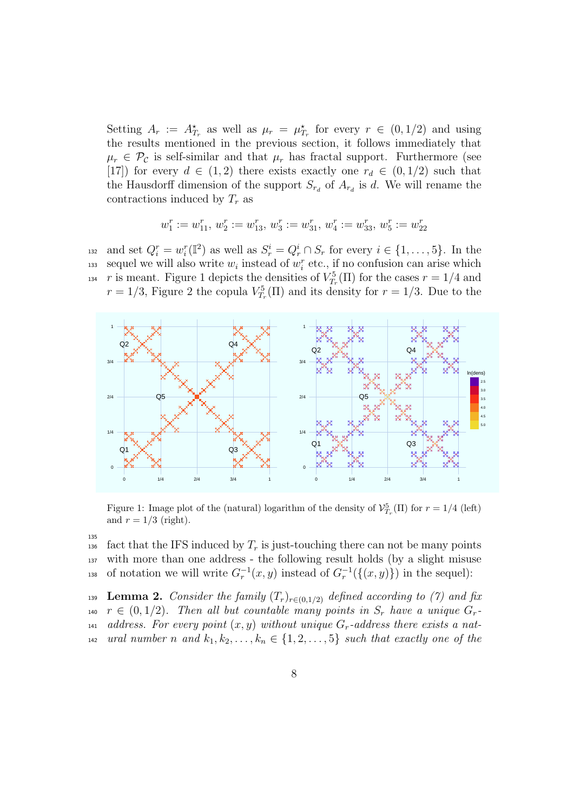Setting  $A_r := A_{T_r}^*$  as well as  $\mu_r = \mu_{T_r}^*$  for every  $r \in (0, 1/2)$  and using the results mentioned in the previous section, it follows immediately that  $\mu_r \in \mathcal{P}_c$  is self-similar and that  $\mu_r$  has fractal support. Furthermore (see [17]) for every  $d \in (1,2)$  there exists exactly one  $r_d \in (0,1/2)$  such that the Hausdorff dimension of the support  $S_{r_d}$  of  $A_{r_d}$  is *d*. We will rename the contractions induced by *T<sup>r</sup>* as

$$
w^r_1:=w^r_{11},\,w^r_2:=w^r_{13},\,w^r_3:=w^r_{31},\,w^r_4:=w^r_{33},\,w^r_5:=w^r_{22}
$$

<sup>132</sup> and set  $Q_i^r = w_i^r(\mathbb{I}^2)$  as well as  $S_r^i = Q_r^i \cap S_r$  for every  $i \in \{1, \ldots, 5\}$ . In the sequel we will also write  $w_i$  instead of  $w_i^r$  etc., if no confusion can arise which <sup>134</sup> *r* is meant. Figure 1 depicts the densities of  $V_{T_r}^5(\Pi)$  for the cases  $r = 1/4$  and  $r = 1/3$ , Figure 2 the copula  $V_{T_r}^5(\Pi)$  and its density for  $r = 1/3$ . Due to the



Figure 1: Image plot of the (natural) logarithm of the density of  $\mathcal{V}_{T_r}^5(\Pi)$  for  $r = 1/4$  (left) and  $r = 1/3$  (right).

135

136 fact that the IFS induced by  $T_r$  is just-touching there can not be many points <sup>137</sup> with more than one address - the following result holds (by a slight misuse <sup>138</sup> of notation we will write  $G_r^{-1}(x, y)$  instead of  $G_r^{-1}(\{(x, y)\})$  in the sequel):

**Lemma 2.** *Consider the family*  $(T_r)_{r \in (0,1/2)}$  *defined according to (7) and fix*  $r \in (0, 1/2)$ . Then all but countable many points in  $S_r$  have a unique  $G_r$ *address. For every point*  $(x, y)$  *without unique*  $G_r$ -address there exists a nat-*ural number n and*  $k_1, k_2, \ldots, k_n \in \{1, 2, \ldots, 5\}$  *such that exactly one of the*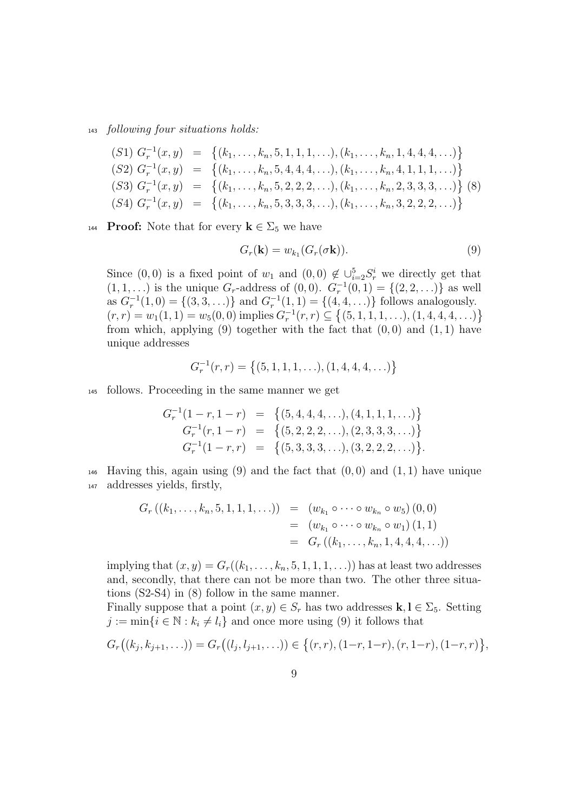<sup>143</sup> *following four situations holds:*

$$
(S1) Gr-1(x, y) = \{(k1,..., kn, 5, 1, 1, 1, ...), (k1,..., kn, 1, 4, 4, 4, ...)\}
$$
  
\n
$$
(S2) Gr-1(x, y) = \{(k1,..., kn, 5, 4, 4, 4, ...), (k1,..., kn, 4, 1, 1, 1, ...)\}
$$
  
\n
$$
(S3) Gr-1(x, y) = \{(k1,..., kn, 5, 2, 2, 2, ...), (k1,..., kn, 2, 3, 3, 3, ...)\}
$$
  
\n
$$
(S4) Gr-1(x, y) = \{(k1,..., kn, 5, 3, 3, 3, ...), (k1,..., kn, 3, 2, 2, 2, ...)\}
$$

**Proof:** Note that for every  $\mathbf{k} \in \Sigma_5$  we have

$$
G_r(\mathbf{k}) = w_{k_1}(G_r(\sigma \mathbf{k})).
$$
\n(9)

Since  $(0,0)$  is a fixed point of  $w_1$  and  $(0,0) \notin \bigcup_{i=2}^5 S_r^i$  we directly get that  $(1, 1, \ldots)$  is the unique *G*<sub>*r*</sub>-address of  $(0, 0)$ .  $G_r^{-1}(0, 1) = \{(2, 2, \ldots)\}\$ as well as  $G_r^{-1}(1,0) = \{(3,3,\ldots)\}\$ and  $G_r^{-1}(1,1) = \{(4,4,\ldots)\}\$ follows analogously.  $(r,r) = w_1(1,1) = w_5(0,0)$  implies  $G_r^{-1}(r,r) \subseteq \{(5,1,1,1,\ldots),(1,4,4,4,\ldots)\}\$ from which, applying  $(9)$  together with the fact that  $(0,0)$  and  $(1,1)$  have unique addresses

$$
G_r^{-1}(r,r) = \{(5,1,1,1,\ldots),(1,4,4,4,\ldots)\}
$$

<sup>145</sup> follows. Proceeding in the same manner we get

$$
G_r^{-1}(1-r, 1-r) = \{(5, 4, 4, 4, \ldots), (4, 1, 1, 1, \ldots)\}
$$
  
\n
$$
G_r^{-1}(r, 1-r) = \{(5, 2, 2, 2, \ldots), (2, 3, 3, 3, \ldots)\}
$$
  
\n
$$
G_r^{-1}(1-r, r) = \{(5, 3, 3, 3, \ldots), (3, 2, 2, 2, \ldots)\}.
$$

<sup>146</sup> Having this, again using (9) and the fact that (0*,* 0) and (1*,* 1) have unique <sup>147</sup> addresses yields, firstly,

$$
G_r ((k_1, ..., k_n, 5, 1, 1, 1, ...)) = (w_{k_1} \circ ... \circ w_{k_n} \circ w_5) (0, 0)
$$
  

$$
= (w_{k_1} \circ ... \circ w_{k_n} \circ w_1) (1, 1)
$$
  

$$
= G_r ((k_1, ..., k_n, 1, 4, 4, 4, ...))
$$

implying that  $(x, y) = G_r((k_1, \ldots, k_n, 5, 1, 1, 1, \ldots))$  has at least two addresses and, secondly, that there can not be more than two. The other three situations (S2-S4) in (8) follow in the same manner.

Finally suppose that a point  $(x, y) \in S_r$  has two addresses  $\mathbf{k}, \mathbf{l} \in \Sigma_5$ . Setting  $j := \min\{i \in \mathbb{N} : k_i \neq l_i\}$  and once more using (9) it follows that

$$
G_r((k_j, k_{j+1}, \ldots)) = G_r((l_j, l_{j+1}, \ldots)) \in \{(r, r), (1-r, 1-r), (r, 1-r), (1-r, r)\},\
$$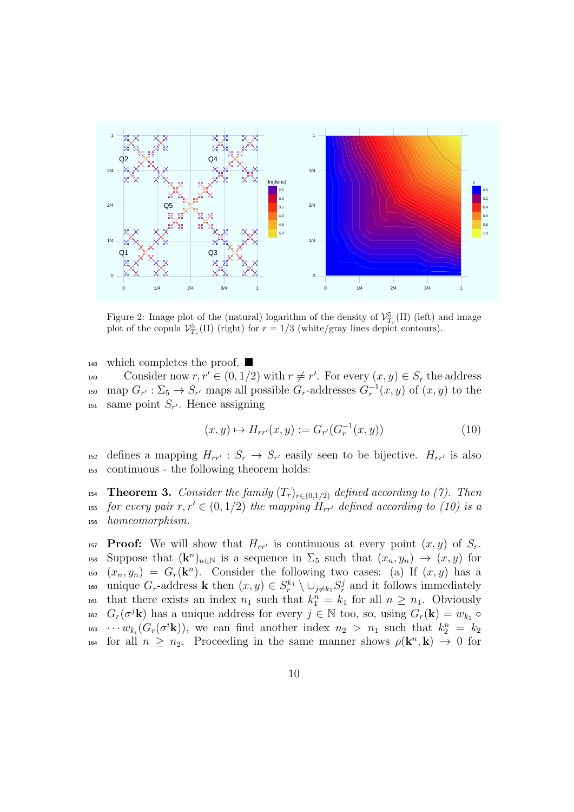

Figure 2: Image plot of the (natural) logarithm of the density of  $\mathcal{V}_{T_r}^5(\Pi)$  (left) and image plot of the copula  $\mathcal{V}_{T_r}^5(\Pi)$  (right) for  $r = 1/3$  (white/gray lines depict contours).

 $_{148}$  which completes the proof.

Consider now  $r, r' \in (0, 1/2)$  with  $r \neq r'$ . For every  $(x, y) \in S_r$  the address <sup>150</sup> map  $G_{r'} : \Sigma_5 \to S_{r'}$  maps all possible  $G_r$ -addresses  $G_r^{-1}(x, y)$  of  $(x, y)$  to the  $s<sub>151</sub>$  same point  $S_{r'}$ . Hence assigning

$$
(x, y) \mapsto H_{rr'}(x, y) := G_{r'}(G_r^{-1}(x, y))
$$
\n(10)

defines a mapping  $H_{rr'}$ :  $S_r \to S_{r'}$  easily seen to be bijective.  $H_{rr'}$  is also <sup>153</sup> continuous - the following theorem holds:

154 **Theorem 3.** *Consider the family*  $(T_r)_{r \in (0,1/2)}$  *defined according to (7). Then for every pair*  $r, r' \in (0, 1/2)$  *the mapping*  $H_{rr'}$  *defined according to (10) is a* <sup>156</sup> *homeomorphism.*

**Proof:** We will show that  $H_{rr'}$  is continuous at every point  $(x, y)$  of  $S_r$ . 158 Suppose that  $(\mathbf{k}^n)_{n \in \mathbb{N}}$  is a sequence in  $\Sigma_5$  such that  $(x_n, y_n) \to (x, y)$  for  $(x_n, y_n) = G_r(\mathbf{k}^n)$ . Consider the following two cases: (a) If  $(x, y)$  has a 160 unique  $G_r$ -address **k** then  $(x, y) \in S_r^{k_1} \setminus \bigcup_{j \neq k_1} S_r^j$  and it follows immediately that there exists an index  $n_1$  such that  $k_1^n = k_1$  for all  $n \geq n_1$ . Obviously <sup>162</sup>  $G_r(\sigma^j \mathbf{k})$  has a unique address for every  $j \in \mathbb{N}$  too, so, using  $G_r(\mathbf{k}) = w_{k_1} \circ$  $w_{k_i}(G_r(\sigma^i\mathbf{k}))$ , we can find another index  $n_2 > n_1$  such that  $k_2^n = k_2$ for all  $n \geq n_2$ . Proceeding in the same manner shows  $\rho(\mathbf{k}^n, \mathbf{k}) \to 0$  for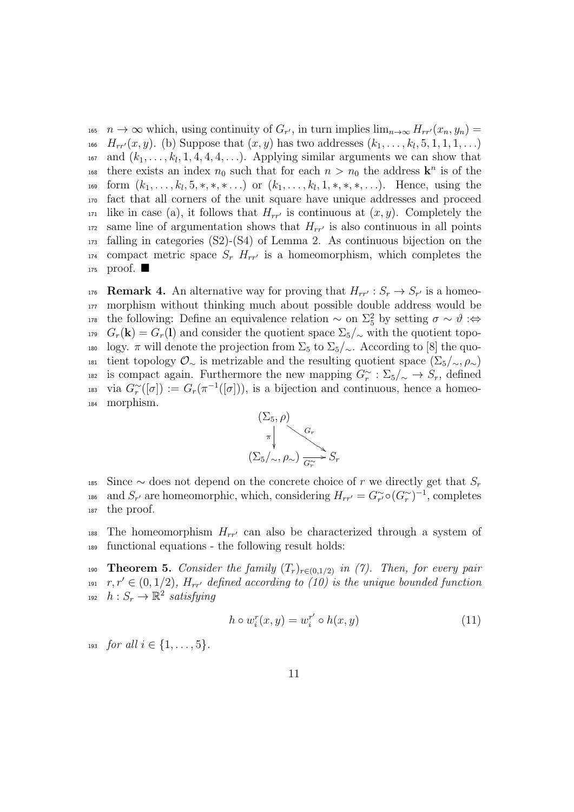$n \to \infty$  which, using continuity of  $G_{r'}$ , in turn implies  $\lim_{n\to\infty} H_{rr'}(x_n, y_n) =$ *H*<sub>*rr'*</sub> $(x, y)$ . (b) Suppose that  $(x, y)$  has two addresses  $(k_1, \ldots, k_l, 5, 1, 1, 1, \ldots)$  $\alpha$ <sup>167</sup> and  $(k_1, \ldots, k_l, 1, 4, 4, 4, \ldots)$ . Applying similar arguments we can show that there exists an index  $n_0$  such that for each  $n > n_0$  the address  $\mathbf{k}^n$  is of the 169 form  $(k_1, \ldots, k_l, 5, \ast, \ast, \ast, \ldots)$  or  $(k_1, \ldots, k_l, 1, \ast, \ast, \ast, \ldots)$ . Hence, using the <sup>170</sup> fact that all corners of the unit square have unique addresses and proceed <sup>171</sup> like in case (a), it follows that  $H_{rr'}$  is continuous at  $(x, y)$ . Completely the  $172$  same line of argumentation shows that  $H_{rr'}$  is also continuous in all points  $173$  falling in categories (S2)-(S4) of Lemma 2. As continuous bijection on the <sup>174</sup> compact metric space  $S_r$   $H_{rr'}$  is a homeomorphism, which completes the 175 proof.  $\blacksquare$ 

176 **Remark 4.** An alternative way for proving that  $H_{rr'}$ :  $S_r \to S_{r'}$  is a homeo-<sup>177</sup> morphism without thinking much about possible double address would be 178 the following: Define an equivalence relation  $\sim$  on  $\Sigma_5^2$  by setting  $\sigma \sim \vartheta$  :⇔ 179  $G_r(\mathbf{k}) = G_r(\mathbf{l})$  and consider the quotient space  $\Sigma_5/\sim$  with the quotient topo-180 logy. *π* will denote the projection from  $\Sigma_5$  to  $\Sigma_5/\sim$ . According to [8] the quo-181 tient topology  $\mathcal{O}_\sim$  is metrizable and the resulting quotient space  $(\Sigma_5/\sim,\rho_\sim)$ is compact again. Furthermore the new mapping  $G_r^{\sim} : \Sigma_5/\sim \rightarrow S_r$ , defined <sup>183</sup> via  $G_r^{\sim}([\sigma]) := G_r(\pi^{-1}([\sigma]))$ , is a bijection and continuous, hence a homeo-<sup>184</sup> morphism.



185 Since  $\sim$  does not depend on the concrete choice of *r* we directly get that  $S_r$ and  $S_{r'}$  are homeomorphic, which, considering  $H_{rr'} = G_{r'}^{\sim} \circ (G_r^{\sim})^{-1}$ , completes <sup>187</sup> the proof.

The homeomorphism  $H_{rr'}$  can also be characterized through a system of <sup>189</sup> functional equations - the following result holds:

**Theorem 5.** *Consider the family*  $(T_r)_{r \in (0,1/2)}$  in (7). Then, for every pair  $r, r' \in (0, 1/2)$ *,*  $H_{rr'}$  defined according to (10) is the unique bounded function  $h: S_r \to \mathbb{R}^2$  *satisfying* 

$$
h \circ w_i^r(x, y) = w_i^{r'} \circ h(x, y) \tag{11}
$$

193 *for all*  $i \in \{1, \ldots, 5\}$ *.*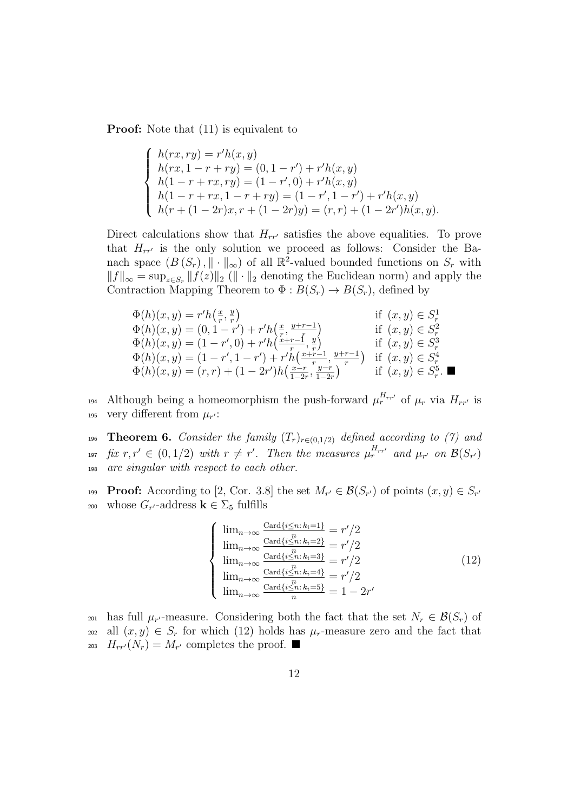**Proof:** Note that  $(11)$  is equivalent to

$$
\begin{cases}\nh(rx, ry) = r'h(x, y) \\
h(rx, 1 - r + ry) = (0, 1 - r') + r'h(x, y) \\
h(1 - r + rx, ry) = (1 - r', 0) + r'h(x, y) \\
h(1 - r + rx, 1 - r + ry) = (1 - r', 1 - r') + r'h(x, y) \\
h(r + (1 - 2r)x, r + (1 - 2r)y) = (r, r) + (1 - 2r')h(x, y).\n\end{cases}
$$

Direct calculations show that  $H_{rr}$ <sup>*c*</sup> satisfies the above equalities. To prove that  $H_{rr'}$  is the only solution we proceed as follows: Consider the Banach space  $(B(S_r), \|\cdot\|_{\infty})$  of all  $\mathbb{R}^2$ -valued bounded functions on  $S_r$  with  $||f||_{\infty} = \sup_{z \in S_r} ||f(z)||_2$  ( $|| \cdot ||_2$  denoting the Euclidean norm) and apply the Contraction Mapping Theorem to  $\Phi: B(S_r) \to B(S_r)$ , defined by

$$
\Phi(h)(x, y) = r'h\left(\frac{x}{r}, \frac{y}{r}\right) \qquad \text{if } (x, y) \in S_r^1 \n\Phi(h)(x, y) = (0, 1 - r') + r'h\left(\frac{x}{r}, \frac{y+r-1}{r}\right) \qquad \text{if } (x, y) \in S_r^2 \n\Phi(h)(x, y) = (1 - r', 0) + r'h\left(\frac{x+r-1}{r}, \frac{y}{r}\right) \qquad \text{if } (x, y) \in S_r^3 \n\Phi(h)(x, y) = (1 - r', 1 - r') + r'h\left(\frac{x+r-1}{r}, \frac{y+r-1}{r}\right) \qquad \text{if } (x, y) \in S_r^4 \n\Phi(h)(x, y) = (r, r) + (1 - 2r')h\left(\frac{x-r}{1-2r}, \frac{y-r}{1-2r}\right) \qquad \text{if } (x, y) \in S_r^5. \blacksquare
$$

194 Although being a homeomorphism the push-forward  $\mu_r^{H_{rr'}}$  of  $\mu_r$  via  $H_{rr'}$  is 195 very different from  $\mu_{r'}$ :

196 **Theorem 6.** *Consider the family*  $(T_r)_{r \in (0,1/2)}$  *defined according to (7) and* <sup>197</sup> fix  $r, r' \in (0, 1/2)$  with  $r \neq r'$ . Then the measures  $\mu_r^{H_{rr'}}$  and  $\mu_{r'}$  on  $\mathcal{B}(S_{r'})$ <sup>198</sup> *are singular with respect to each other.*

**Proof:** According to [2, Cor. 3.8] the set  $M_{r'} \in \mathcal{B}(S_{r'})$  of points  $(x, y) \in S_{r'}$ 200 whose  $G_{r'}$ -address **k** ∈  $\Sigma_5$  fulfills

$$
\begin{cases}\n\lim_{n\to\infty} \frac{\text{Card}\{i\leq n: k_i=1\}}{n} = r'/2\\ \n\lim_{n\to\infty} \frac{\text{Card}\{i\leq n: k_i=2\}}{n} = r'/2\\ \n\lim_{n\to\infty} \frac{\text{Card}\{i\leq n: k_i=3\}}{n} = r'/2\\ \n\lim_{n\to\infty} \frac{\text{Card}\{i\leq n: k_i=4\}}{n} = r'/2\\ \n\lim_{n\to\infty} \frac{\text{Card}\{i\leq n: k_i=5\}}{n} = 1 - 2r'\n\end{cases}
$$
\n(12)

 $\mu_r$  has full  $\mu_{r'}$ -measure. Considering both the fact that the set  $N_r \in \mathcal{B}(S_r)$  of 202 all  $(x, y) \in S_r$  for which (12) holds has  $\mu_r$ -measure zero and the fact that 203  $H_{rr'}(N_r) = M_{r'}$  completes the proof.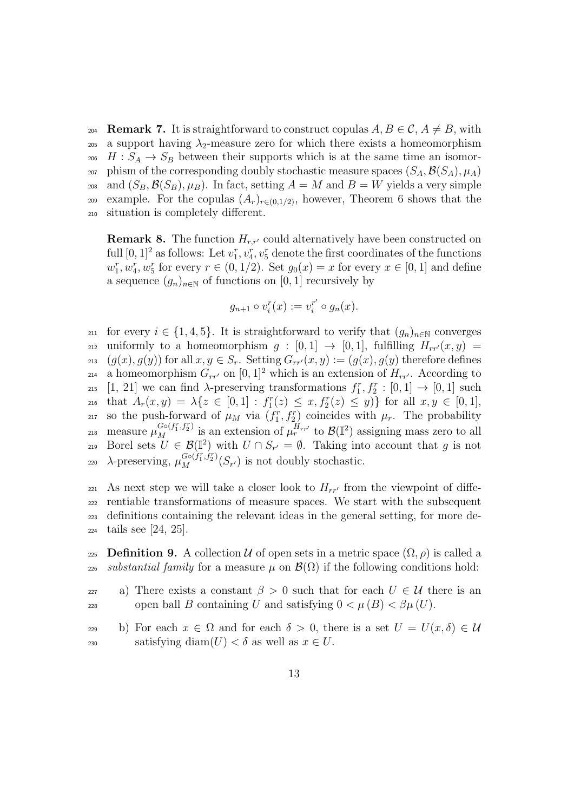204 **Remark 7.** It is straightforward to construct copulas  $A, B \in \mathcal{C}, A \neq B$ , with 205 a support having  $\lambda_2$ -measure zero for which there exists a homeomorphism 206 *H* :  $S_A \rightarrow S_B$  between their supports which is at the same time an isomor-207 phism of the corresponding doubly stochastic measure spaces  $(S_A, \mathcal{B}(S_A), \mu_A)$ 208 and  $(S_B, \mathcal{B}(S_B), \mu_B)$ . In fact, setting  $A = M$  and  $B = W$  yields a very simple example. For the copulas  $(A_r)_{r \in (0,1/2)}$ , however, Theorem 6 shows that the <sup>210</sup> situation is completely different.

**Remark 8.** The function  $H_{rr'}$  could alternatively have been constructed on full  $[0, 1]^2$  as follows: Let  $v_1^r, v_4^r, v_5^r$  denote the first coordinates of the functions  $w_1^r, w_4^r, w_5^r$  for every  $r \in (0, 1/2)$ . Set  $g_0(x) = x$  for every  $x \in [0, 1]$  and define a sequence  $(g_n)_{n\in\mathbb{N}}$  of functions on [0, 1] recursively by

$$
g_{n+1} \circ v_i^r(x) := v_i^{r'} \circ g_n(x).
$$

211 for every  $i \in \{1, 4, 5\}$ . It is straightforward to verify that  $(g_n)_{n \in \mathbb{N}}$  converges  $_{212}$  uniformly to a homeomorphism  $g : [0,1] \rightarrow [0,1]$ , fulfilling  $H_{rr'}(x,y) =$  $(g(x), g(y))$  for all  $x, y \in S_r$ . Setting  $G_{rr'}(x, y) := (g(x), g(y))$  therefore defines a homeomorphism  $G_{rr'}$  on  $[0, 1]^2$  which is an extension of  $H_{rr'}$ . According to <sup>215</sup> [1, 21] we can find  $\lambda$ -preserving transformations  $f_1^r, f_2^r : [0,1] \to [0,1]$  such 216 that  $A_r(x,y) = \lambda \{ z \in [0,1] : f_1^r(z) \le x, f_2^r(z) \le y \}$  for all  $x, y \in [0,1],$ 217 so the push-forward of  $\mu_M$  via  $(f_1^r, f_2^r)$  coincides with  $\mu_r$ . The probability  $\mu_M^{G \circ (f_1^r, f_2^r)}$  is an extension of  $\mu_r^{H_{rr'}}$  to  $\mathcal{B}(\mathbb{I}^2)$  assigning mass zero to all Borel sets  $U \in \mathcal{B}(\mathbb{I}^2)$  with  $U \cap S_{r'} = \emptyset$ . Taking into account that *g* is not <sup>220</sup> λ-preserving,  $μ_M^{G \circ (f_1^r, f_2^r)}(S_{r'})$  is not doubly stochastic.

 $_{221}$  As next step we will take a closer look to  $H_{rr'}$  from the viewpoint of diffe- rentiable transformations of measure spaces. We start with the subsequent definitions containing the relevant ideas in the general setting, for more de-tails see [24, 25].

**Definition 9.** A collection *U* of open sets in a metric space  $(\Omega, \rho)$  is called a 226 *substantial family* for a measure  $\mu$  on  $\mathcal{B}(\Omega)$  if the following conditions hold:

227 a) There exists a constant  $\beta > 0$  such that for each  $U \in \mathcal{U}$  there is an  $228$  open ball *B* containing *U* and satisfying  $0 < μ(B) < βμ(U)$ .

229 b) For each  $x \in \Omega$  and for each  $\delta > 0$ , there is a set  $U = U(x, \delta) \in \mathcal{U}$ 230 satisfying diam $(U) < \delta$  as well as  $x \in U$ .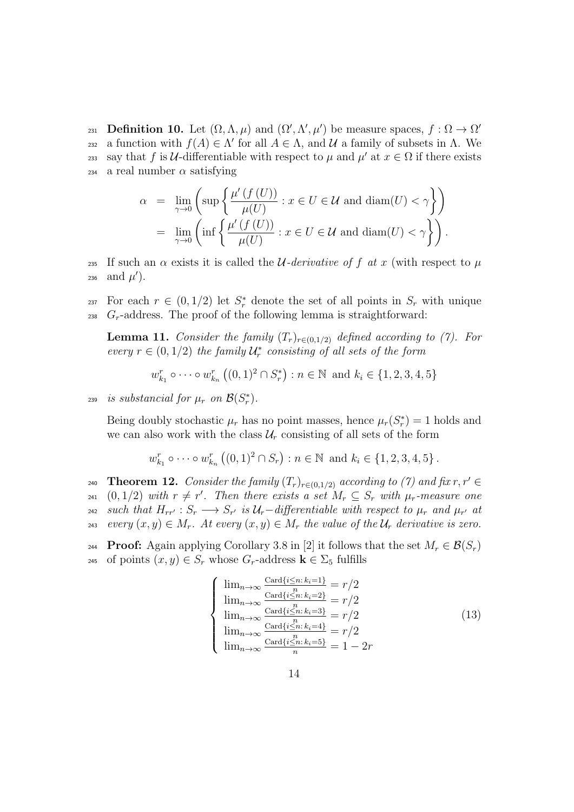**Definition 10.** Let  $(\Omega, \Lambda, \mu)$  and  $(\Omega', \Lambda', \mu')$  be measure spaces,  $f : \Omega \to \Omega'$ 231 232 a function with *f*(*A*)  $\in$  Λ' for all *A*  $\in$  Λ, and *U* a family of subsets in Λ. We say that *f* is *U*-differentiable with respect to  $\mu$  and  $\mu'$  at  $x \in \Omega$  if there exists  $234$  a real number  $\alpha$  satisfying

$$
\alpha = \lim_{\gamma \to 0} \left( \sup \left\{ \frac{\mu'(f(U))}{\mu(U)} : x \in U \in \mathcal{U} \text{ and } \text{diam}(U) < \gamma \right\} \right)
$$
\n
$$
= \lim_{\gamma \to 0} \left( \inf \left\{ \frac{\mu'(f(U))}{\mu(U)} : x \in U \in \mathcal{U} \text{ and } \text{diam}(U) < \gamma \right\} \right).
$$

235 If such an  $\alpha$  exists it is called the *U*-derivative of f at x (with respect to  $\mu$  $_{236}$  and  $\mu'$ ).

For each  $r \in (0, 1/2)$  let  $S_r^*$  denote the set of all points in  $S_r$  with unique  $_{238}$   $G_r$ -address. The proof of the following lemma is straightforward:

**Lemma 11.** *Consider the family*  $(T_r)_{r \in (0,1/2)}$  *defined according to (7). For every*  $r \in (0, 1/2)$  *the family*  $\mathcal{U}_r^*$  *consisting of all sets of the form* 

$$
w_{k_1}^r \circ \cdots \circ w_{k_n}^r ((0,1)^2 \cap S_r^*) : n \in \mathbb{N}
$$
 and  $k_i \in \{1,2,3,4,5\}$ 

*is substancial for*  $\mu_r$  *on*  $\mathcal{B}(S_r^*)$ *.* 

Being doubly stochastic  $\mu_r$  has no point masses, hence  $\mu_r(S_r^*) = 1$  holds and we can also work with the class  $\mathcal{U}_r$  consisting of all sets of the form

$$
w_{k_1}^r \circ \cdots \circ w_{k_n}^r ((0,1)^2 \cap S_r) : n \in \mathbb{N}
$$
 and  $k_i \in \{1,2,3,4,5\}$ .

**Theorem 12.** *Consider the family*  $(T_r)_{r \in (0,1/2)}$  *according to (7) and fix*  $r, r' \in$  $\mathbb{Z}_{241}$   $(0,1/2)$  with  $r \neq r'$ . Then there exists a set  $M_r \subseteq S_r$  with  $\mu_r$ -measure one 242 such that  $H_{rr'}$ :  $S_r \longrightarrow S_{r'}$  is  $\mathcal{U}_r$ -differentiable with respect to  $\mu_r$  and  $\mu_{r'}$  at *every*  $(x, y) \in M_r$ . At every  $(x, y) \in M_r$  the value of the  $\mathcal{U}_r$  derivative is zero.

**Proof:** Again applying Corollary 3.8 in [2] it follows that the set  $M_r \in \mathcal{B}(S_r)$ 245 of points  $(x, y) \in S_r$  whose  $G_r$ -address  $\mathbf{k} \in \Sigma_5$  fulfills

$$
\begin{cases}\n\lim_{n\to\infty} \frac{\text{Card}\{i\leq n: k_i=1\}}{n} = r/2\\ \n\lim_{n\to\infty} \frac{\text{Card}\{i\leq n: k_i=2\}}{n} = r/2\\ \n\lim_{n\to\infty} \frac{\text{Card}\{i\leq n: k_i=3\}}{n} = r/2\\ \n\lim_{n\to\infty} \frac{\text{Card}\{i\leq n: k_i=4\}}{n} = r/2\\ \n\lim_{n\to\infty} \frac{\text{Card}\{i\leq n: k_i=5\}}{n} = 1 - 2r\n\end{cases}
$$
\n(13)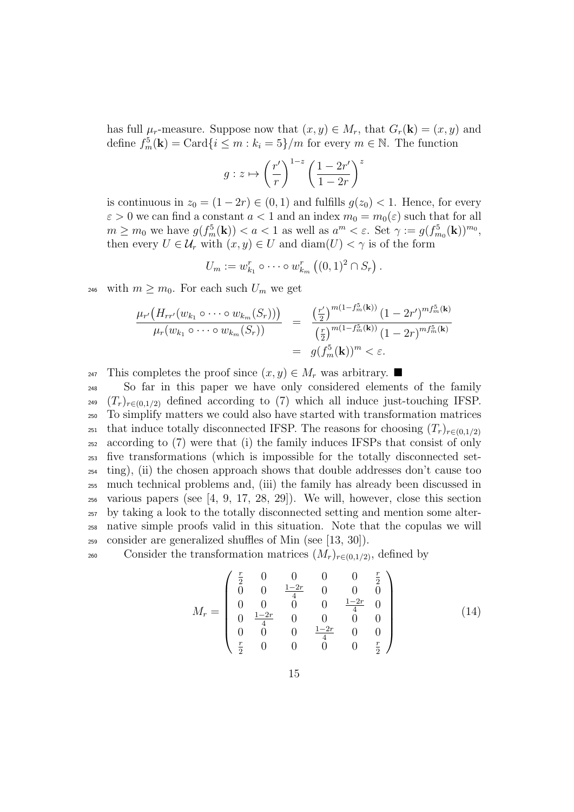has full  $\mu_r$ -measure. Suppose now that  $(x, y) \in M_r$ , that  $G_r(\mathbf{k}) = (x, y)$  and define  $f_m^5(\mathbf{k}) = \text{Card}\{i \leq m : k_i = 5\}/m$  for every  $m \in \mathbb{N}$ . The function

$$
g: z \mapsto \left(\frac{r'}{r}\right)^{1-z} \left(\frac{1-2r'}{1-2r}\right)^z
$$

is continuous in  $z_0 = (1 - 2r) \in (0, 1)$  and fulfills  $g(z_0) < 1$ . Hence, for every  $\varepsilon > 0$  we can find a constant  $a < 1$  and an index  $m_0 = m_0(\varepsilon)$  such that for all  $m \geq m_0$  we have  $g(f_m^5(\mathbf{k})) < a < 1$  as well as  $a^m < \varepsilon$ . Set  $\gamma := g(f_{m_0}^5(\mathbf{k}))^{m_0}$ , then every  $U \in \mathcal{U}_r$  with  $(x, y) \in U$  and  $\text{diam}(U) < \gamma$  is of the form

$$
U_m := w_{k_1}^r \circ \cdots \circ w_{k_m}^r ((0,1)^2 \cap S_r).
$$

<sup>246</sup> with  $m \geq m_0$ . For each such  $U_m$  we get

$$
\frac{\mu_{r'}(H_{rr'}(w_{k_1}\circ\cdots\circ w_{k_m}(S_r)))}{\mu_r(w_{k_1}\circ\cdots\circ w_{k_m}(S_r))} = \frac{\left(\frac{r'}{2}\right)^{m(1-f_m^5(\mathbf{k}))}(1-2r')^{mf_m^5(\mathbf{k})}}{\left(\frac{r}{2}\right)^{m(1-f_m^5(\mathbf{k}))}(1-2r)^{mf_m^5(\mathbf{k})}} = g(f_m^5(\mathbf{k}))^m < \varepsilon.
$$

<sup>247</sup> This completes the proof since  $(x, y) \in M_r$  was arbitrary.

 So far in this paper we have only considered elements of the family <sup>249</sup>  $(T_r)_{r \in (0,1/2)}$  defined according to (7) which all induce just-touching IFSP. To simplify matters we could also have started with transformation matrices that induce totally disconnected IFSP. The reasons for choosing  $(T_r)_{r \in (0,1/2)}$  according to (7) were that (i) the family induces IFSPs that consist of only five transformations (which is impossible for the totally disconnected set- ting), (ii) the chosen approach shows that double addresses don't cause too much technical problems and, (iii) the family has already been discussed in various papers (see [4, 9, 17, 28, 29]). We will, however, close this section by taking a look to the totally disconnected setting and mention some alter- native simple proofs valid in this situation. Note that the copulas we will consider are generalized shuffles of Min (see [13, 30]).

consider the transformation matrices  $(M_r)_{r\in(0,1/2)}$ , defined by

$$
M_r = \begin{pmatrix} \frac{r}{2} & 0 & 0 & 0 & 0 & \frac{r}{2} \\ 0 & 0 & \frac{1-2r}{4} & 0 & 0 & 0 \\ 0 & 0 & 0 & 0 & \frac{1-2r}{4} & 0 \\ 0 & \frac{1-2r}{4} & 0 & 0 & 0 & 0 \\ 0 & 0 & 0 & \frac{1-2r}{4} & 0 & 0 \\ \frac{r}{2} & 0 & 0 & 0 & 0 & \frac{r}{2} \end{pmatrix}
$$
(14)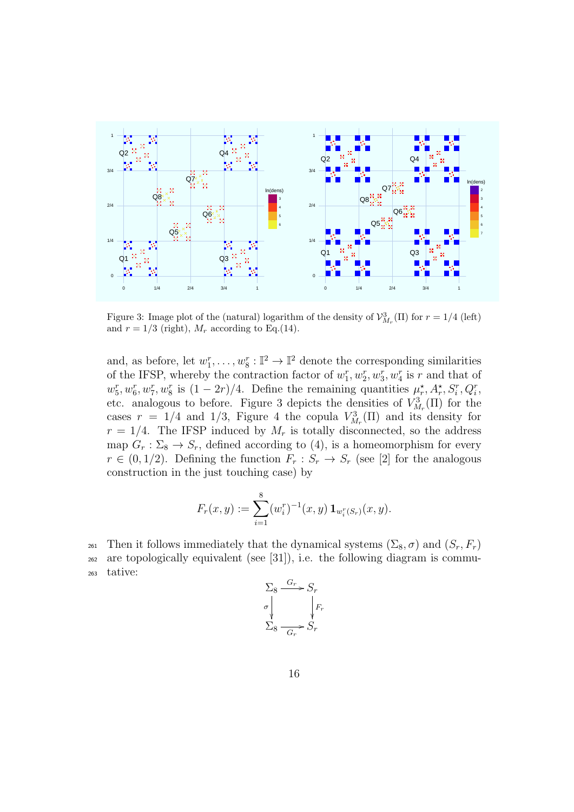

Figure 3: Image plot of the (natural) logarithm of the density of  $\mathcal{V}_{M_r}^3(\Pi)$  for  $r = 1/4$  (left) and  $r = 1/3$  (right),  $M_r$  according to Eq.(14).

and, as before, let  $w_1^r, \ldots, w_8^r : \mathbb{I}^2 \to \mathbb{I}^2$  denote the corresponding similarities of the IFSP, whereby the contraction factor of  $w_1^r, w_2^r, w_3^r, w_4^r$  is  $r$  and that of  $w_5^r, w_6^r, w_7^r, w_8^r$  is  $(1-2r)/4$ . Define the remaining quantities  $\mu_r^{\star}, A_r^{\star}, S_i^r, Q_i^r$ , etc. analogous to before. Figure 3 depicts the densities of  $V_{M_r}^3(\Pi)$  for the cases  $r = 1/4$  and 1/3, Figure 4 the copula  $V_{M_r}^3(\Pi)$  and its density for  $r = 1/4$ . The IFSP induced by  $M_r$  is totally disconnected, so the address map  $G_r : \Sigma_8 \to S_r$ , defined according to (4), is a homeomorphism for every  $r \in (0, 1/2)$ . Defining the function  $F_r : S_r \to S_r$  (see [2] for the analogous construction in the just touching case) by

$$
F_r(x,y) := \sum_{i=1}^8 (w_i^r)^{-1}(x,y) \mathbf{1}_{w_i^r(S_r)}(x,y).
$$

261 Then it follows immediately that the dynamical systems  $(\Sigma_8, \sigma)$  and  $(S_r, F_r)$ <sup>262</sup> are topologically equivalent (see [31]), i.e. the following diagram is commu-<sup>263</sup> tative:

$$
\Sigma_8 \xrightarrow{G_r} S_r
$$
  
\n
$$
\sigma \downarrow \qquad \qquad \downarrow F_r
$$
  
\n
$$
\Sigma_8 \xrightarrow{G_r} S_r
$$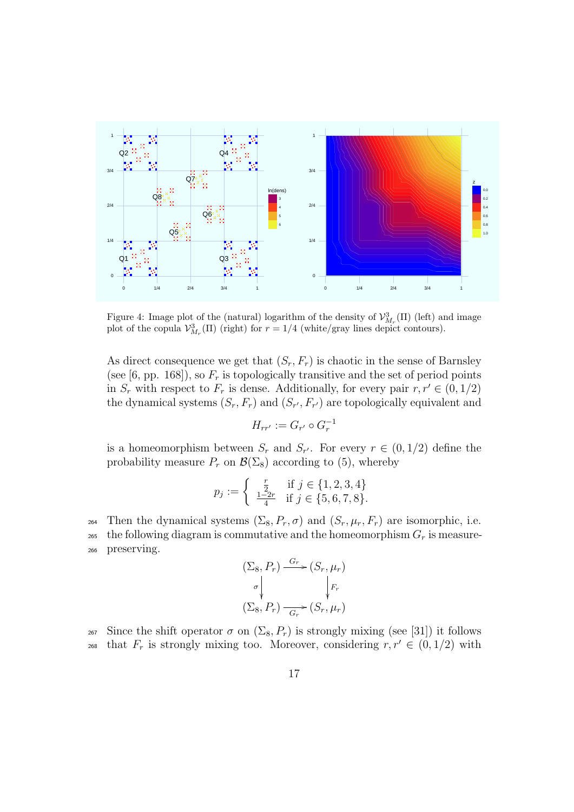

Figure 4: Image plot of the (natural) logarithm of the density of  $\mathcal{V}_{M_r}^3(\Pi)$  (left) and image plot of the copula  $\mathcal{V}_{M_r}^3(\Pi)$  (right) for  $r = 1/4$  (white/gray lines depict contours).

As direct consequence we get that  $(S_r, F_r)$  is chaotic in the sense of Barnsley (see [6, pp. 168]), so  $F_r$  is topologically transitive and the set of period points in  $S_r$  with respect to  $F_r$  is dense. Additionally, for every pair  $r, r' \in (0, 1/2)$ the dynamical systems  $(S_r, F_r)$  and  $(S_{r'}, F_{r'})$  are topologically equivalent and

$$
H_{rr'} := G_{r'} \circ G_r^{-1}
$$

is a homeomorphism between  $S_r$  and  $S_{r'}$ . For every  $r \in (0,1/2)$  define the probability measure  $P_r$  on  $\mathcal{B}(\Sigma_8)$  according to (5), whereby

$$
p_j := \begin{cases} \frac{r}{2} & \text{if } j \in \{1, 2, 3, 4\} \\ \frac{1-2r}{4} & \text{if } j \in \{5, 6, 7, 8\}. \end{cases}
$$

264 Then the dynamical systems  $(\Sigma_8, P_r, \sigma)$  and  $(S_r, \mu_r, F_r)$  are isomorphic, i.e. 265 the following diagram is commutative and the homeomorphism  $G_r$  is measure-<sup>266</sup> preserving.

$$
(\Sigma_8, P_r) \xrightarrow{G_r} (S_r, \mu_r)
$$
  
\n
$$
\sigma \downarrow \qquad \qquad \downarrow F_r
$$
  
\n
$$
(\Sigma_8, P_r) \xrightarrow{G_r} (S_r, \mu_r)
$$

<sup>267</sup> Since the shift operator  $\sigma$  on  $(\Sigma_8, P_r)$  is strongly mixing (see [31]) it follows that  $F_r$  is strongly mixing too. Moreover, considering  $r, r' \in (0, 1/2)$  with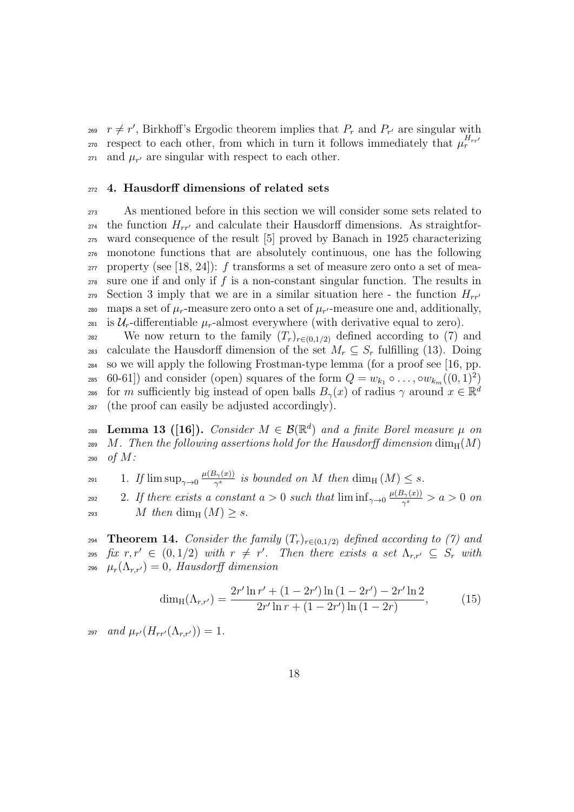$r \neq r'$ , Birkhoff's Ergodic theorem implies that  $P_r$  and  $P_{r'}$  are singular with respect to each other, from which in turn it follows immediately that  $\mu_r^{H_{rr'}}$  $\mu_{r'}$  are singular with respect to each other.

# <sup>272</sup> **4. Hausdorff dimensions of related sets**

<sup>273</sup> As mentioned before in this section we will consider some sets related to  $t_{274}$  the function  $H_{rr'}$  and calculate their Hausdorff dimensions. As straightfor-<sup>275</sup> ward consequence of the result [5] proved by Banach in 1925 characterizing <sup>276</sup> monotone functions that are absolutely continuous, one has the following <sup>277</sup> property (see [18, 24]): *f* transforms a set of measure zero onto a set of mea-<sup>278</sup> sure one if and only if *f* is a non-constant singular function. The results in Section 3 imply that we are in a similar situation here - the function  $H_{rr'}$ maps a set of  $\mu_r$ -measure zero onto a set of  $\mu_{r'}$ -measure one and, additionally, 281 is  $U_r$ -differentiable  $\mu_r$ -almost everywhere (with derivative equal to zero).

282 We now return to the family  $(T_r)_{r \in (0,1/2)}$  defined according to (7) and 283 calculate the Hausdorff dimension of the set  $M_r \subseteq S_r$  fulfilling (13). Doing <sup>284</sup> so we will apply the following Frostman-type lemma (for a proof see [16, pp. <sup>285</sup> 60-61]) and consider (open) squares of the form  $Q = w_{k_1} \circ \ldots \circ w_{k_m}((0,1)^2)$ for *m* sufficiently big instead of open balls  $B_{\gamma}(x)$  of radius  $\gamma$  around  $x \in \mathbb{R}^d$ 286 <sup>287</sup> (the proof can easily be adjusted accordingly).

**Lemma 13 ([16]).** *Consider*  $M \in \mathcal{B}(\mathbb{R}^d)$  and a finite Borel measure  $\mu$  on <sup>289</sup> *M*. Then the following assertions hold for the Hausdorff dimension  $\dim_H(M)$ <sup>290</sup> *of M:*

1. *If*  $\limsup_{\gamma \to 0} \frac{\mu(B_{\gamma}(x))}{\gamma^{s}}$ 291 **i** 1. If  $\limsup_{\gamma \to 0} \frac{\mu(B_{\gamma}(x))}{\gamma^{s}}$  is bounded on M then  $\dim_{\mathrm{H}} (M) \leq s$ .

2. If there exists a constant  $a > 0$  such that  $\liminf_{\gamma \to 0} \frac{\mu(B_\gamma(x))}{\gamma^s}$ 292 *i* 2. If there exists a constant  $a > 0$  such that  $\liminf_{\gamma \to 0} \frac{\mu(B_\gamma(x))}{\gamma^s} > a > 0$  on 293 *M then* dim<sub>H</sub>  $(M)$  *> s.* 

**Theorem 14.** *Consider the family*  $(T_r)_{r \in (0,1/2)}$  *defined according to (7) and*  $f(x, r, r' \in (0, 1/2)$  *with*  $r \neq r'$ . Then there exists a set  $\Lambda_{r,r'} \subseteq S_r$  with  $\mu_r(\Lambda_{r,r'})=0$ , Hausdorff dimension

$$
\dim_{\mathrm{H}}(\Lambda_{r,r'}) = \frac{2r'\ln r' + (1 - 2r')\ln(1 - 2r') - 2r'\ln 2}{2r'\ln r + (1 - 2r')\ln(1 - 2r)},\tag{15}
$$

 $a_{297}$  *and*  $\mu_{r'}(H_{rr'}(\Lambda_{r,r'})) = 1$ *.*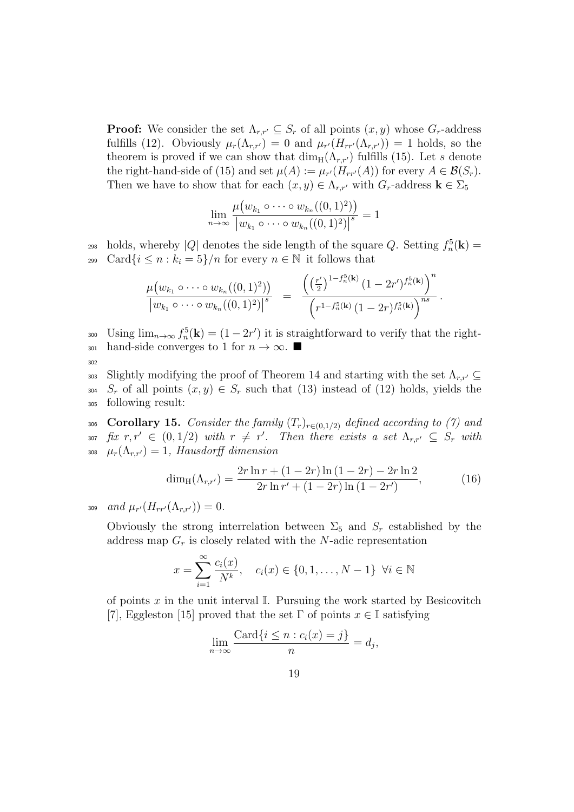**Proof:** We consider the set  $\Lambda_{r,r'} \subseteq S_r$  of all points  $(x, y)$  whose  $G_r$ -address fulfills (12). Obviously  $\mu_r(\Lambda_{r,r'})=0$  and  $\mu_{r'}(H_{rr'}(\Lambda_{r,r'}))=1$  holds, so the theorem is proved if we can show that  $\dim_H(\Lambda_{r,r'})$  fulfills (15). Let *s* denote the right-hand-side of (15) and set  $\mu(A) := \mu_{r'}(H_{rr'}(A))$  for every  $A \in \mathcal{B}(S_r)$ . Then we have to show that for each  $(x, y) \in \Lambda_{r,r'}$  with  $G_r$ -address  $\mathbf{k} \in \Sigma_5$ 

$$
\lim_{n\to\infty}\frac{\mu(w_{k_1}\circ\cdots\circ w_{k_n}((0,1)^2))}{|w_{k_1}\circ\cdots\circ w_{k_n}((0,1)^2)|^s}=1
$$

 $_{298}$  holds, whereby  $|Q|$  denotes the side length of the square  $Q$ . Setting  $f_n^5(\mathbf{k}) =$ 299 Card $\{i \leq n : k_i = 5\}/n$  for every  $n \in \mathbb{N}$  it follows that

$$
\frac{\mu(w_{k_1}\circ\cdots\circ w_{k_n}((0,1)^2))}{|w_{k_1}\circ\cdots\circ w_{k_n}((0,1)^2)|^s} = \frac{\left(\left(\frac{r'}{2}\right)^{1-f_n^5(\mathbf{k})}(1-2r')^{f_n^5(\mathbf{k})}\right)^n}{\left(r^{1-f_n^5(\mathbf{k})}(1-2r)^{f_n^5(\mathbf{k})}\right)^{ns}}.
$$

300 Using  $\lim_{n\to\infty} f_n^5(\mathbf{k}) = (1-2r')$  it is straightforward to verify that the right- $_{301}$  hand-side converges to 1 for  $n \to \infty$ . 302

Slightly modifying the proof of Theorem 14 and starting with the set  $\Lambda_{r,r'} \subseteq$ 304 *S<sub>r</sub>* of all points  $(x, y) \in S_r$  such that (13) instead of (12) holds, yields the <sup>305</sup> following result:

306 **Corollary 15.** Consider the family  $(T_r)_{r \in (0,1/2)}$  defined according to (7) and  $f(x, r, r' \in (0, 1/2)$  *with*  $r \neq r'$ . Then there exists a set  $\Lambda_{r,r'} \subseteq S_r$  with  $\mu_r(\Lambda_{r,r'})=1$ , *Hausdorff dimension* 

$$
\dim_{\mathrm{H}}(\Lambda_{r,r'}) = \frac{2r\ln r + (1-2r)\ln(1-2r) - 2r\ln 2}{2r\ln r' + (1-2r)\ln(1-2r')} \tag{16}
$$

*and*  $\mu_{r'}(H_{rr'}(\Lambda_{r,r'})) = 0$ .

Obviously the strong interrelation between  $\Sigma_5$  and  $S_r$  established by the address map *G<sup>r</sup>* is closely related with the *N*-adic representation

$$
x = \sum_{i=1}^{\infty} \frac{c_i(x)}{N^k}, \quad c_i(x) \in \{0, 1, ..., N-1\} \ \forall i \in \mathbb{N}
$$

of points  $x$  in the unit interval  $\mathbb{I}$ . Pursuing the work started by Besicovitch [7], Eggleston [15] proved that the set  $\Gamma$  of points  $x \in \mathbb{I}$  satisfying

$$
\lim_{n \to \infty} \frac{\text{Card}\{i \le n : c_i(x) = j\}}{n} = d_j,
$$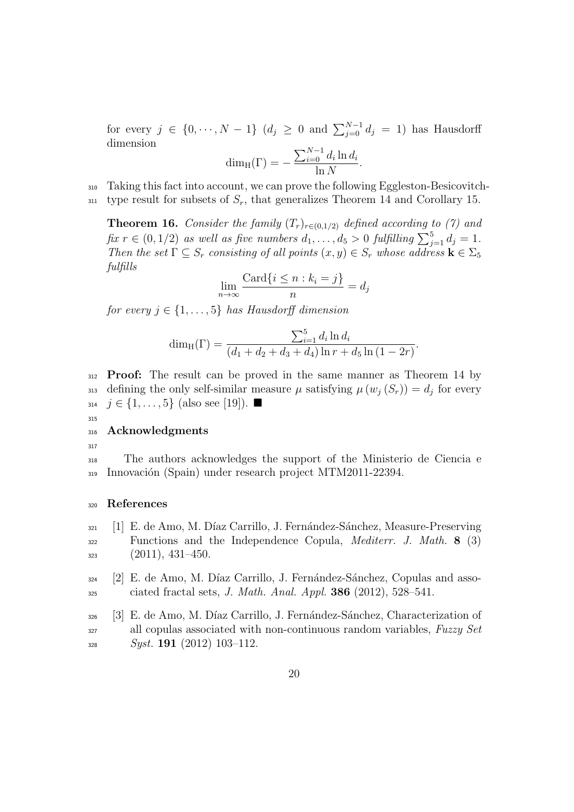for every  $j \in \{0, \dots, N-1\}$   $(d_j \geq 0 \text{ and } \sum_{j=0}^{N-1} d_j = 1)$  has Hausdorff dimension

$$
\dim_{\mathrm{H}}(\Gamma) = -\frac{\sum_{i=0}^{N-1} d_i \ln d_i}{\ln N}.
$$

<sup>310</sup> Taking this fact into account, we can prove the following Eggleston-Besicovitch-

 $\gamma$ <sub>311</sub> type result for subsets of  $S_r$ , that generalizes Theorem 14 and Corollary 15.

**Theorem 16.** *Consider the family*  $(T_r)_{r \in (0,1/2)}$  *defined according to (7) and fix*  $r \in (0, 1/2)$  *as well as five numbers*  $d_1, \ldots, d_5 > 0$  *fulfilling*  $\sum_{j=1}^5 d_j = 1$ *. Then the set*  $\Gamma \subseteq S_r$  *consisting of all points*  $(x, y) \in S_r$  *whose address*  $\mathbf{k} \in \Sigma_5$ *fulfills*

$$
\lim_{n \to \infty} \frac{\text{Card}\{i \le n : k_i = j\}}{n} = d_j
$$

*for every*  $j \in \{1, \ldots, 5\}$  *has Hausdorff dimension* 

$$
\dim_{\mathrm{H}}(\Gamma) = \frac{\sum_{i=1}^{5} d_i \ln d_i}{(d_1 + d_2 + d_3 + d_4) \ln r + d_5 \ln (1 - 2r)}.
$$

<sup>312</sup> **Proof:** The result can be proved in the same manner as Theorem 14 by defining the only self-similar measure  $\mu$  satisfying  $\mu(w_j(S_r)) = d_j$  for every  $314 \text{ } j \in \{1, \ldots, 5\} \text{ (also see [19]).} \blacksquare$ 

# <sup>316</sup> **Acknowledgments**

317

315

<sup>318</sup> The authors acknowledges the support of the Ministerio de Ciencia e 319 Innovación (Spain) under research project MTM2011-22394.

#### <sup>320</sup> **References**

- $_{321}$  [1] E. de Amo, M. Díaz Carrillo, J. Fernández-Sánchez, Measure-Preserving <sup>322</sup> Functions and the Independence Copula, *Mediterr. J. Math.* **8** (3)  $323$   $(2011), 431-450.$
- $324$  [2] E. de Amo, M. Díaz Carrillo, J. Fernández-Sánchez, Copulas and asso-<sup>325</sup> ciated fractal sets, *J. Math. Anal. Appl.* **386** (2012), 528–541.
- $326$  [3] E. de Amo, M. Díaz Carrillo, J. Fernández-Sánchez, Characterization of <sup>327</sup> all copulas associated with non-continuous random variables, *Fuzzy Set* <sup>328</sup> *Syst.* **191** (2012) 103–112.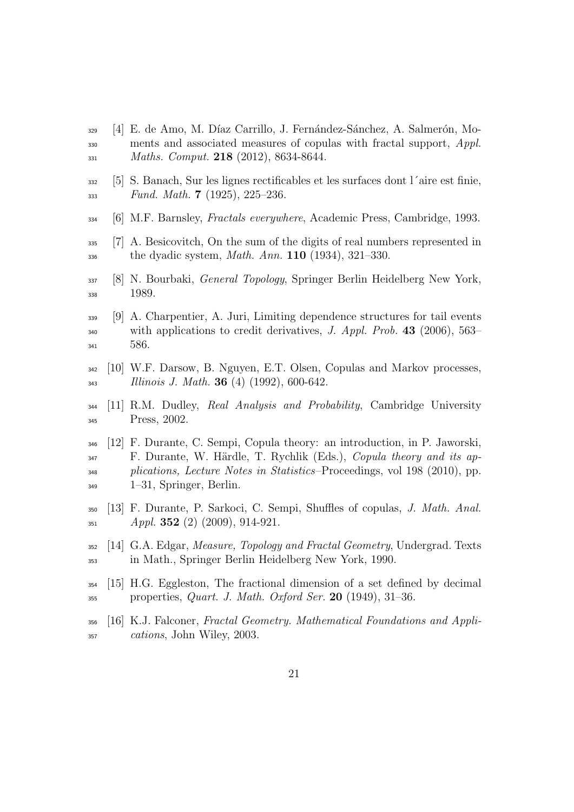- [4] E. de Amo, M. D´ıaz Carrillo, J. Fern´andez-S´anchez, A. Salmer´on, Mo- ments and associated measures of copulas with fractal support, *Appl. Maths. Comput.* **218** (2012), 8634-8644.
- [5] S. Banach, Sur les lignes rectificables et les surfaces dont l´aire est finie, *Fund. Math.* **7** (1925), 225–236.
- [6] M.F. Barnsley, *Fractals everywhere*, Academic Press, Cambridge, 1993.
- [7] A. Besicovitch, On the sum of the digits of real numbers represented in the dyadic system, *Math. Ann.* **110** (1934), 321–330.
- [8] N. Bourbaki, *General Topology*, Springer Berlin Heidelberg New York, 338 1989.
- [9] A. Charpentier, A. Juri, Limiting dependence structures for tail events with applications to credit derivatives, *J. Appl. Prob.* **43** (2006), 563– 586.
- [10] W.F. Darsow, B. Nguyen, E.T. Olsen, Copulas and Markov processes, *Illinois J. Math.* **36** (4) (1992), 600-642.
- [11] R.M. Dudley, *Real Analysis and Probability*, Cambridge University Press, 2002.
- [12] F. Durante, C. Sempi, Copula theory: an introduction, in P. Jaworski, F. Durante, W. H¨ardle, T. Rychlik (Eds.), *Copula theory and its ap- plications, Lecture Notes in Statistics*–Proceedings, vol 198 (2010), pp. 1–31, Springer, Berlin.
- [13] F. Durante, P. Sarkoci, C. Sempi, Shuffles of copulas, *J. Math. Anal. Appl.* **352** (2) (2009), 914-921.
- [14] G.A. Edgar, *Measure, Topology and Fractal Geometry*, Undergrad. Texts in Math., Springer Berlin Heidelberg New York, 1990.
- [15] H.G. Eggleston, The fractional dimension of a set defined by decimal properties, *Quart. J. Math. Oxford Ser.* **20** (1949), 31–36.
- [16] K.J. Falconer, *Fractal Geometry. Mathematical Foundations and Appli-cations*, John Wiley, 2003.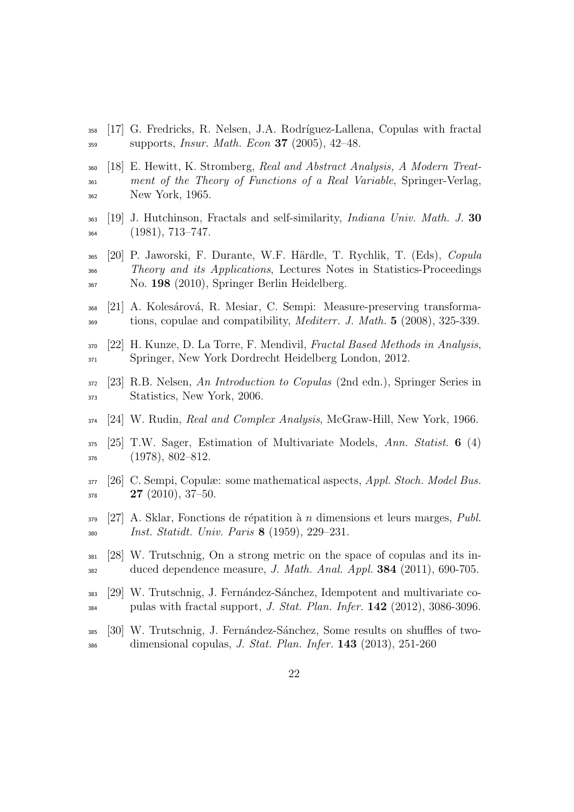- [17] G. Fredricks, R. Nelsen, J.A. Rodr´ıguez-Lallena, Copulas with fractal supports, *Insur. Math. Econ* **37** (2005), 42–48.
- [18] E. Hewitt, K. Stromberg, *Real and Abstract Analysis, A Modern Treat- ment of the Theory of Functions of a Real Variable*, Springer-Verlag, New York, 1965.
- [19] J. Hutchinson, Fractals and self-similarity, *Indiana Univ. Math. J.* **30** (1981), 713–747.
- [20] P. Jaworski, F. Durante, W.F. H¨ardle, T. Rychlik, T. (Eds), *Copula Theory and its Applications*, Lectures Notes in Statistics-Proceedings No. **198** (2010), Springer Berlin Heidelberg.
- [21] A. Koles´arov´a, R. Mesiar, C. Sempi: Measure-preserving transforma-tions, copulae and compatibility, *Mediterr. J. Math.* **5** (2008), 325-339.
- [22] H. Kunze, D. La Torre, F. Mendivil, *Fractal Based Methods in Analysis*, <sup>371</sup> Springer, New York Dordrecht Heidelberg London, 2012.
- [23] R.B. Nelsen, *An Introduction to Copulas* (2nd edn.), Springer Series in Statistics, New York, 2006.
- [24] W. Rudin, *Real and Complex Analysis*, McGraw-Hill, New York, 1966.
- [25] T.W. Sager, Estimation of Multivariate Models, *Ann. Statist.* **6** (4) (1978), 802–812.
- [26] C. Sempi, Copulæ: some mathematical aspects, *Appl. Stoch. Model Bus.* **27** (2010), 37–50.
- [27] A. Sklar, Fonctions de r´epatition `a *n* dimensions et leurs marges, *Publ. Inst. Statidt. Univ. Paris* **8** (1959), 229–231.
- [28] W. Trutschnig, On a strong metric on the space of copulas and its in-duced dependence measure, *J. Math. Anal. Appl.* **384** (2011), 690-705.
- [29] W. Trutschnig, J. Fern´andez-S´anchez, Idempotent and multivariate co-pulas with fractal support, *J. Stat. Plan. Infer.* **142** (2012), 3086-3096.
- [30] W. Trutschnig, J. Fern´andez-S´anchez, Some results on shuffles of two-dimensional copulas, *J. Stat. Plan. Infer.* **143** (2013), 251-260